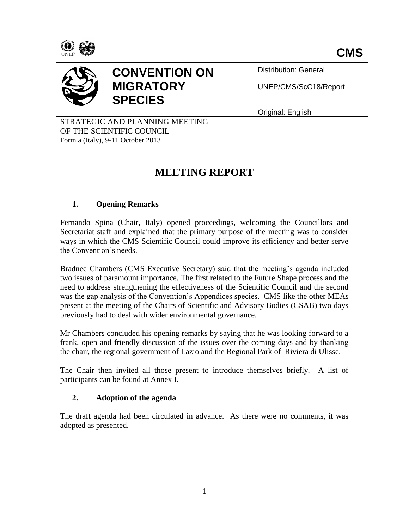



# **CONVENTION ON MIGRATORY SPECIES**

Distribution: General

UNEP/CMS/ScC18/Report

Original: English

STRATEGIC AND PLANNING MEETING OF THE SCIENTIFIC COUNCIL Formia (Italy), 9-11 October 2013

# **MEETING REPORT**

# **1. Opening Remarks**

Fernando Spina (Chair, Italy) opened proceedings, welcoming the Councillors and Secretariat staff and explained that the primary purpose of the meeting was to consider ways in which the CMS Scientific Council could improve its efficiency and better serve the Convention's needs.

Bradnee Chambers (CMS Executive Secretary) said that the meeting's agenda included two issues of paramount importance. The first related to the Future Shape process and the need to address strengthening the effectiveness of the Scientific Council and the second was the gap analysis of the Convention's Appendices species. CMS like the other MEAs present at the meeting of the Chairs of Scientific and Advisory Bodies (CSAB) two days previously had to deal with wider environmental governance.

Mr Chambers concluded his opening remarks by saying that he was looking forward to a frank, open and friendly discussion of the issues over the coming days and by thanking the chair, the regional government of Lazio and the Regional Park of Riviera di Ulisse.

The Chair then invited all those present to introduce themselves briefly. A list of participants can be found at Annex I.

# **2. Adoption of the agenda**

The draft agenda had been circulated in advance. As there were no comments, it was adopted as presented.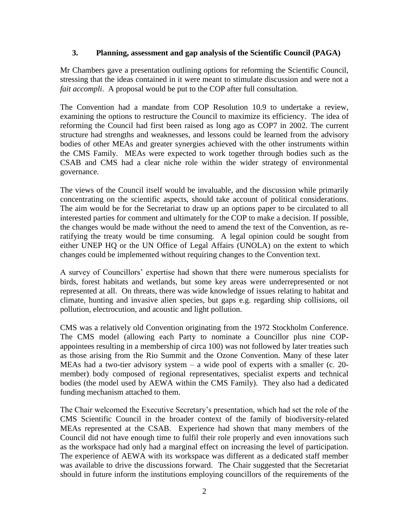#### **3. Planning, assessment and gap analysis of the Scientific Council (PAGA)**

Mr Chambers gave a presentation outlining options for reforming the Scientific Council, stressing that the ideas contained in it were meant to stimulate discussion and were not a *fait accompli.* A proposal would be put to the COP after full consultation.

The Convention had a mandate from COP Resolution 10.9 to undertake a review, examining the options to restructure the Council to maximize its efficiency. The idea of reforming the Council had first been raised as long ago as COP7 in 2002. The current structure had strengths and weaknesses, and lessons could be learned from the advisory bodies of other MEAs and greater synergies achieved with the other instruments within the CMS Family. MEAs were expected to work together through bodies such as the CSAB and CMS had a clear niche role within the wider strategy of environmental governance.

The views of the Council itself would be invaluable, and the discussion while primarily concentrating on the scientific aspects, should take account of political considerations. The aim would be for the Secretariat to draw up an options paper to be circulated to all interested parties for comment and ultimately for the COP to make a decision. If possible, the changes would be made without the need to amend the text of the Convention, as reratifying the treaty would be time consuming. A legal opinion could be sought from either UNEP HQ or the UN Office of Legal Affairs (UNOLA) on the extent to which changes could be implemented without requiring changes to the Convention text.

A survey of Councillors' expertise had shown that there were numerous specialists for birds, forest habitats and wetlands, but some key areas were underrepresented or not represented at all. On threats, there was wide knowledge of issues relating to habitat and climate, hunting and invasive alien species, but gaps e.g. regarding ship collisions, oil pollution, electrocution, and acoustic and light pollution.

CMS was a relatively old Convention originating from the 1972 Stockholm Conference. The CMS model (allowing each Party to nominate a Councillor plus nine COPappointees resulting in a membership of circa 100) was not followed by later treaties such as those arising from the Rio Summit and the Ozone Convention. Many of these later MEAs had a two-tier advisory system – a wide pool of experts with a smaller (c. 20 member) body composed of regional representatives, specialist experts and technical bodies (the model used by AEWA within the CMS Family). They also had a dedicated funding mechanism attached to them.

The Chair welcomed the Executive Secretary's presentation, which had set the role of the CMS Scientific Council in the broader context of the family of biodiversity-related MEAs represented at the CSAB. Experience had shown that many members of the Council did not have enough time to fulfil their role properly and even innovations such as the workspace had only had a marginal effect on increasing the level of participation. The experience of AEWA with its workspace was different as a dedicated staff member was available to drive the discussions forward. The Chair suggested that the Secretariat should in future inform the institutions employing councillors of the requirements of the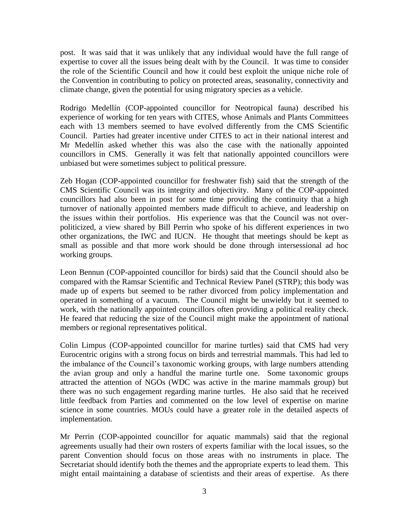post. It was said that it was unlikely that any individual would have the full range of expertise to cover all the issues being dealt with by the Council. It was time to consider the role of the Scientific Council and how it could best exploit the unique niche role of the Convention in contributing to policy on protected areas, seasonality, connectivity and climate change, given the potential for using migratory species as a vehicle.

Rodrigo Medellín (COP-appointed councillor for Neotropical fauna) described his experience of working for ten years with CITES, whose Animals and Plants Committees each with 13 members seemed to have evolved differently from the CMS Scientific Council. Parties had greater incentive under CITES to act in their national interest and Mr Medellín asked whether this was also the case with the nationally appointed councillors in CMS. Generally it was felt that nationally appointed councillors were unbiased but were sometimes subject to political pressure.

Zeb Hogan (COP-appointed councillor for freshwater fish) said that the strength of the CMS Scientific Council was its integrity and objectivity. Many of the COP-appointed councillors had also been in post for some time providing the continuity that a high turnover of nationally appointed members made difficult to achieve, and leadership on the issues within their portfolios. His experience was that the Council was not overpoliticized, a view shared by Bill Perrin who spoke of his different experiences in two other organizations, the IWC and IUCN. He thought that meetings should be kept as small as possible and that more work should be done through intersessional ad hoc working groups.

Leon Bennun (COP-appointed councillor for birds) said that the Council should also be compared with the Ramsar Scientific and Technical Review Panel (STRP); this body was made up of experts but seemed to be rather divorced from policy implementation and operated in something of a vacuum. The Council might be unwieldy but it seemed to work, with the nationally appointed councillors often providing a political reality check. He feared that reducing the size of the Council might make the appointment of national members or regional representatives political.

Colin Limpus (COP-appointed councillor for marine turtles) said that CMS had very Eurocentric origins with a strong focus on birds and terrestrial mammals. This had led to the imbalance of the Council's taxonomic working groups, with large numbers attending the avian group and only a handful the marine turtle one. Some taxonomic groups attracted the attention of NGOs (WDC was active in the marine mammals group) but there was no such engagement regarding marine turtles. He also said that he received little feedback from Parties and commented on the low level of expertise on marine science in some countries. MOUs could have a greater role in the detailed aspects of implementation.

Mr Perrin (COP-appointed councillor for aquatic mammals) said that the regional agreements usually had their own rosters of experts familiar with the local issues, so the parent Convention should focus on those areas with no instruments in place. The Secretariat should identify both the themes and the appropriate experts to lead them. This might entail maintaining a database of scientists and their areas of expertise. As there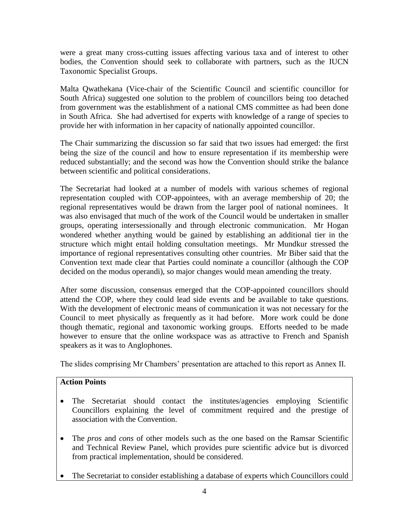were a great many cross-cutting issues affecting various taxa and of interest to other bodies, the Convention should seek to collaborate with partners, such as the IUCN Taxonomic Specialist Groups.

Malta Qwathekana (Vice-chair of the Scientific Council and scientific councillor for South Africa) suggested one solution to the problem of councillors being too detached from government was the establishment of a national CMS committee as had been done in South Africa. She had advertised for experts with knowledge of a range of species to provide her with information in her capacity of nationally appointed councillor.

The Chair summarizing the discussion so far said that two issues had emerged: the first being the size of the council and how to ensure representation if its membership were reduced substantially; and the second was how the Convention should strike the balance between scientific and political considerations.

The Secretariat had looked at a number of models with various schemes of regional representation coupled with COP-appointees, with an average membership of 20; the regional representatives would be drawn from the larger pool of national nominees. It was also envisaged that much of the work of the Council would be undertaken in smaller groups, operating intersessionally and through electronic communication. Mr Hogan wondered whether anything would be gained by establishing an additional tier in the structure which might entail holding consultation meetings. Mr Mundkur stressed the importance of regional representatives consulting other countries. Mr Biber said that the Convention text made clear that Parties could nominate a councillor (although the COP decided on the modus operandi), so major changes would mean amending the treaty.

After some discussion, consensus emerged that the COP-appointed councillors should attend the COP, where they could lead side events and be available to take questions. With the development of electronic means of communication it was not necessary for the Council to meet physically as frequently as it had before. More work could be done though thematic, regional and taxonomic working groups. Efforts needed to be made however to ensure that the online workspace was as attractive to French and Spanish speakers as it was to Anglophones.

The slides comprising Mr Chambers' presentation are attached to this report as Annex II.

# **Action Points**

- The Secretariat should contact the institutes/agencies employing Scientific Councillors explaining the level of commitment required and the prestige of association with the Convention.
- The *pros* and *cons* of other models such as the one based on the Ramsar Scientific and Technical Review Panel, which provides pure scientific advice but is divorced from practical implementation, should be considered.
- The Secretariat to consider establishing a database of experts which Councillors could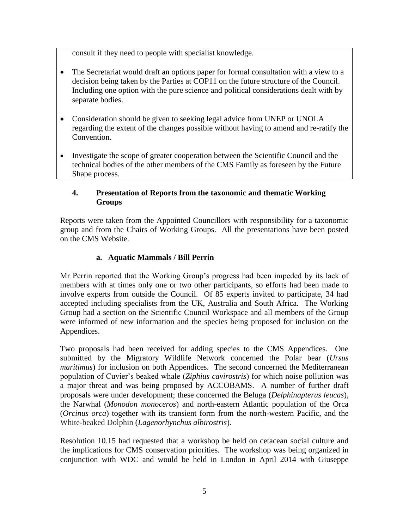consult if they need to people with specialist knowledge.

- The Secretariat would draft an options paper for formal consultation with a view to a decision being taken by the Parties at COP11 on the future structure of the Council. Including one option with the pure science and political considerations dealt with by separate bodies.
- Consideration should be given to seeking legal advice from UNEP or UNOLA regarding the extent of the changes possible without having to amend and re-ratify the Convention.
- Investigate the scope of greater cooperation between the Scientific Council and the technical bodies of the other members of the CMS Family as foreseen by the Future Shape process.

# **4. Presentation of Reports from the taxonomic and thematic Working Groups**

Reports were taken from the Appointed Councillors with responsibility for a taxonomic group and from the Chairs of Working Groups. All the presentations have been posted on the CMS Website.

# **a. Aquatic Mammals / Bill Perrin**

Mr Perrin reported that the Working Group's progress had been impeded by its lack of members with at times only one or two other participants, so efforts had been made to involve experts from outside the Council. Of 85 experts invited to participate, 34 had accepted including specialists from the UK, Australia and South Africa. The Working Group had a section on the Scientific Council Workspace and all members of the Group were informed of new information and the species being proposed for inclusion on the Appendices.

Two proposals had been received for adding species to the CMS Appendices. One submitted by the Migratory Wildlife Network concerned the Polar bear (*Ursus maritimus*) for inclusion on both Appendices. The second concerned the Mediterranean population of Cuvier's beaked whale (*Ziphius cavirostris*) for which noise pollution was a major threat and was being proposed by ACCOBAMS. A number of further draft proposals were under development; these concerned the Beluga (*Delphinapterus leucas*), the Narwhal (*Monodon monoceros*) and north-eastern Atlantic population of the Orca (*Orcinus orca*) together with its transient form from the north-western Pacific, and the White-beaked Dolphin (*Lagenorhynchus albirostris*)*.*

Resolution 10.15 had requested that a workshop be held on cetacean social culture and the implications for CMS conservation priorities. The workshop was being organized in conjunction with WDC and would be held in London in April 2014 with Giuseppe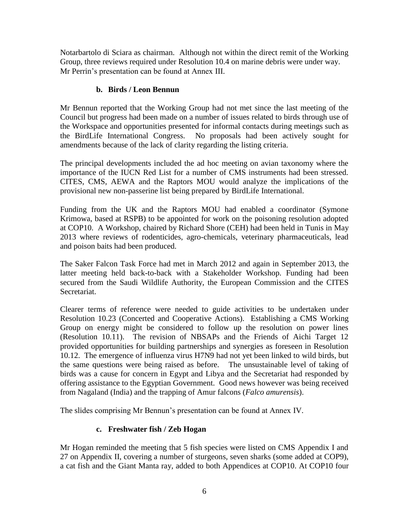Notarbartolo di Sciara as chairman. Although not within the direct remit of the Working Group, three reviews required under Resolution 10.4 on marine debris were under way. Mr Perrin's presentation can be found at Annex III.

# **b. Birds / Leon Bennun**

Mr Bennun reported that the Working Group had not met since the last meeting of the Council but progress had been made on a number of issues related to birds through use of the Workspace and opportunities presented for informal contacts during meetings such as the BirdLife International Congress. No proposals had been actively sought for No proposals had been actively sought for amendments because of the lack of clarity regarding the listing criteria.

The principal developments included the ad hoc meeting on avian taxonomy where the importance of the IUCN Red List for a number of CMS instruments had been stressed. CITES, CMS, AEWA and the Raptors MOU would analyze the implications of the provisional new non-passerine list being prepared by BirdLife International.

Funding from the UK and the Raptors MOU had enabled a coordinator (Symone Krimowa, based at RSPB) to be appointed for work on the poisoning resolution adopted at COP10. A Workshop, chaired by Richard Shore (CEH) had been held in Tunis in May 2013 where reviews of rodenticides, agro-chemicals, veterinary pharmaceuticals, lead and poison baits had been produced.

The Saker Falcon Task Force had met in March 2012 and again in September 2013, the latter meeting held back-to-back with a Stakeholder Workshop. Funding had been secured from the Saudi Wildlife Authority, the European Commission and the CITES Secretariat.

Clearer terms of reference were needed to guide activities to be undertaken under Resolution 10.23 (Concerted and Cooperative Actions). Establishing a CMS Working Group on energy might be considered to follow up the resolution on power lines (Resolution 10.11). The revision of NBSAPs and the Friends of Aichi Target 12 provided opportunities for building partnerships and synergies as foreseen in Resolution 10.12. The emergence of influenza virus H7N9 had not yet been linked to wild birds, but the same questions were being raised as before. The unsustainable level of taking of birds was a cause for concern in Egypt and Libya and the Secretariat had responded by offering assistance to the Egyptian Government. Good news however was being received from Nagaland (India) and the trapping of Amur falcons (*Falco amurensis*).

The slides comprising Mr Bennun's presentation can be found at Annex IV.

# **c. Freshwater fish / Zeb Hogan**

Mr Hogan reminded the meeting that 5 fish species were listed on CMS Appendix I and 27 on Appendix II, covering a number of sturgeons, seven sharks (some added at COP9), a cat fish and the Giant Manta ray, added to both Appendices at COP10. At COP10 four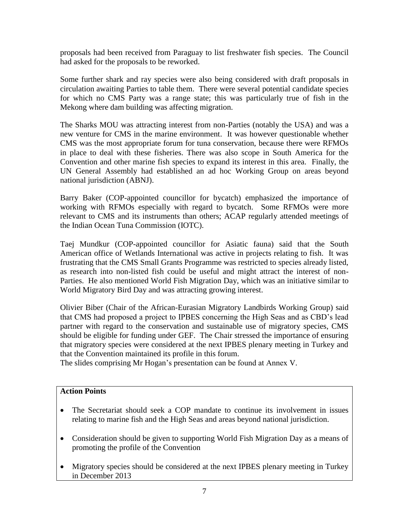proposals had been received from Paraguay to list freshwater fish species. The Council had asked for the proposals to be reworked.

Some further shark and ray species were also being considered with draft proposals in circulation awaiting Parties to table them. There were several potential candidate species for which no CMS Party was a range state; this was particularly true of fish in the Mekong where dam building was affecting migration.

The Sharks MOU was attracting interest from non-Parties (notably the USA) and was a new venture for CMS in the marine environment. It was however questionable whether CMS was the most appropriate forum for tuna conservation, because there were RFMOs in place to deal with these fisheries. There was also scope in South America for the Convention and other marine fish species to expand its interest in this area. Finally, the UN General Assembly had established an ad hoc Working Group on areas beyond national jurisdiction (ABNJ).

Barry Baker (COP-appointed councillor for bycatch) emphasized the importance of working with RFMOs especially with regard to bycatch. Some RFMOs were more relevant to CMS and its instruments than others; ACAP regularly attended meetings of the Indian Ocean Tuna Commission (IOTC).

Taej Mundkur (COP-appointed councillor for Asiatic fauna) said that the South American office of Wetlands International was active in projects relating to fish. It was frustrating that the CMS Small Grants Programme was restricted to species already listed, as research into non-listed fish could be useful and might attract the interest of non-Parties. He also mentioned World Fish Migration Day, which was an initiative similar to World Migratory Bird Day and was attracting growing interest.

Olivier Biber (Chair of the African-Eurasian Migratory Landbirds Working Group) said that CMS had proposed a project to IPBES concerning the High Seas and as CBD's lead partner with regard to the conservation and sustainable use of migratory species, CMS should be eligible for funding under GEF. The Chair stressed the importance of ensuring that migratory species were considered at the next IPBES plenary meeting in Turkey and that the Convention maintained its profile in this forum.

The slides comprising Mr Hogan's presentation can be found at Annex V.

# **Action Points**

- The Secretariat should seek a COP mandate to continue its involvement in issues relating to marine fish and the High Seas and areas beyond national jurisdiction.
- Consideration should be given to supporting World Fish Migration Day as a means of promoting the profile of the Convention
- Migratory species should be considered at the next IPBES plenary meeting in Turkey in December 2013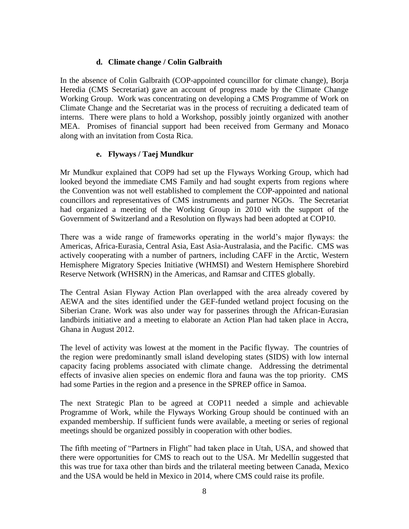# **d. Climate change / Colin Galbraith**

In the absence of Colin Galbraith (COP-appointed councillor for climate change), Borja Heredia (CMS Secretariat) gave an account of progress made by the Climate Change Working Group. Work was concentrating on developing a CMS Programme of Work on Climate Change and the Secretariat was in the process of recruiting a dedicated team of interns. There were plans to hold a Workshop, possibly jointly organized with another MEA. Promises of financial support had been received from Germany and Monaco along with an invitation from Costa Rica.

#### **e. Flyways / Taej Mundkur**

Mr Mundkur explained that COP9 had set up the Flyways Working Group, which had looked beyond the immediate CMS Family and had sought experts from regions where the Convention was not well established to complement the COP-appointed and national councillors and representatives of CMS instruments and partner NGOs. The Secretariat had organized a meeting of the Working Group in 2010 with the support of the Government of Switzerland and a Resolution on flyways had been adopted at COP10.

There was a wide range of frameworks operating in the world's major flyways: the Americas, Africa-Eurasia, Central Asia, East Asia-Australasia, and the Pacific. CMS was actively cooperating with a number of partners, including CAFF in the Arctic, Western Hemisphere Migratory Species Initiative (WHMSI) and Western Hemisphere Shorebird Reserve Network (WHSRN) in the Americas, and Ramsar and CITES globally.

The Central Asian Flyway Action Plan overlapped with the area already covered by AEWA and the sites identified under the GEF-funded wetland project focusing on the Siberian Crane. Work was also under way for passerines through the African-Eurasian landbirds initiative and a meeting to elaborate an Action Plan had taken place in Accra, Ghana in August 2012.

The level of activity was lowest at the moment in the Pacific flyway. The countries of the region were predominantly small island developing states (SIDS) with low internal capacity facing problems associated with climate change. Addressing the detrimental effects of invasive alien species on endemic flora and fauna was the top priority. CMS had some Parties in the region and a presence in the SPREP office in Samoa.

The next Strategic Plan to be agreed at COP11 needed a simple and achievable Programme of Work, while the Flyways Working Group should be continued with an expanded membership. If sufficient funds were available, a meeting or series of regional meetings should be organized possibly in cooperation with other bodies.

The fifth meeting of "Partners in Flight" had taken place in Utah, USA, and showed that there were opportunities for CMS to reach out to the USA. Mr Medellín suggested that this was true for taxa other than birds and the trilateral meeting between Canada, Mexico and the USA would be held in Mexico in 2014, where CMS could raise its profile.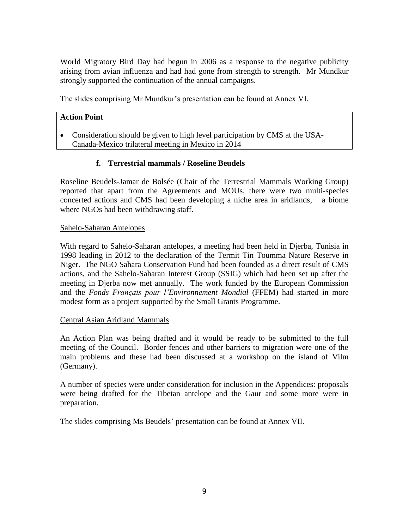World Migratory Bird Day had begun in 2006 as a response to the negative publicity arising from avian influenza and had had gone from strength to strength. Mr Mundkur strongly supported the continuation of the annual campaigns.

The slides comprising Mr Mundkur's presentation can be found at Annex VI.

#### **Action Point**

 Consideration should be given to high level participation by CMS at the USA-Canada-Mexico trilateral meeting in Mexico in 2014

#### **f. Terrestrial mammals / Roseline Beudels**

Roseline Beudels-Jamar de Bolsée (Chair of the Terrestrial Mammals Working Group) reported that apart from the Agreements and MOUs, there were two multi-species concerted actions and CMS had been developing a niche area in aridlands, a biome where NGOs had been withdrawing staff.

#### Sahelo-Saharan Antelopes

With regard to Sahelo-Saharan antelopes, a meeting had been held in Djerba, Tunisia in 1998 leading in 2012 to the declaration of the Termit Tin Toumma Nature Reserve in Niger. The NGO Sahara Conservation Fund had been founded as a direct result of CMS actions, and the Sahelo-Saharan Interest Group (SSIG) which had been set up after the meeting in Djerba now met annually. The work funded by the European Commission and the *Fonds Français pour l'Environnement Mondial* (FFEM) had started in more modest form as a project supported by the Small Grants Programme.

#### Central Asian Aridland Mammals

An Action Plan was being drafted and it would be ready to be submitted to the full meeting of the Council. Border fences and other barriers to migration were one of the main problems and these had been discussed at a workshop on the island of Vilm (Germany).

A number of species were under consideration for inclusion in the Appendices: proposals were being drafted for the Tibetan antelope and the Gaur and some more were in preparation.

The slides comprising Ms Beudels' presentation can be found at Annex VII.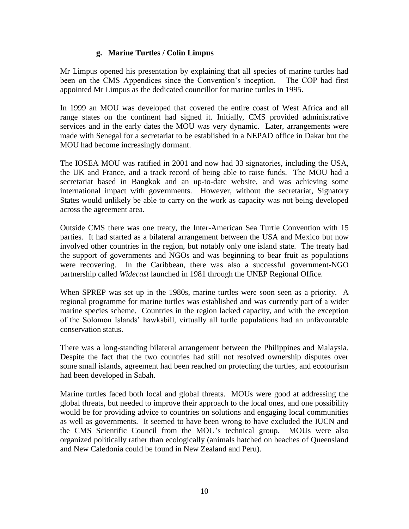# **g. Marine Turtles / Colin Limpus**

Mr Limpus opened his presentation by explaining that all species of marine turtles had been on the CMS Appendices since the Convention's inception. The COP had first appointed Mr Limpus as the dedicated councillor for marine turtles in 1995.

In 1999 an MOU was developed that covered the entire coast of West Africa and all range states on the continent had signed it. Initially, CMS provided administrative services and in the early dates the MOU was very dynamic. Later, arrangements were made with Senegal for a secretariat to be established in a NEPAD office in Dakar but the MOU had become increasingly dormant.

The IOSEA MOU was ratified in 2001 and now had 33 signatories, including the USA, the UK and France, and a track record of being able to raise funds. The MOU had a secretariat based in Bangkok and an up-to-date website, and was achieving some international impact with governments. However, without the secretariat, Signatory States would unlikely be able to carry on the work as capacity was not being developed across the agreement area.

Outside CMS there was one treaty, the Inter-American Sea Turtle Convention with 15 parties. It had started as a bilateral arrangement between the USA and Mexico but now involved other countries in the region, but notably only one island state. The treaty had the support of governments and NGOs and was beginning to bear fruit as populations were recovering. In the Caribbean, there was also a successful government-NGO partnership called *Widecast* launched in 1981 through the UNEP Regional Office.

When SPREP was set up in the 1980s, marine turtles were soon seen as a priority. A regional programme for marine turtles was established and was currently part of a wider marine species scheme. Countries in the region lacked capacity, and with the exception of the Solomon Islands' hawksbill, virtually all turtle populations had an unfavourable conservation status.

There was a long-standing bilateral arrangement between the Philippines and Malaysia. Despite the fact that the two countries had still not resolved ownership disputes over some small islands, agreement had been reached on protecting the turtles, and ecotourism had been developed in Sabah.

Marine turtles faced both local and global threats. MOUs were good at addressing the global threats, but needed to improve their approach to the local ones, and one possibility would be for providing advice to countries on solutions and engaging local communities as well as governments. It seemed to have been wrong to have excluded the IUCN and the CMS Scientific Council from the MOU's technical group. MOUs were also organized politically rather than ecologically (animals hatched on beaches of Queensland and New Caledonia could be found in New Zealand and Peru).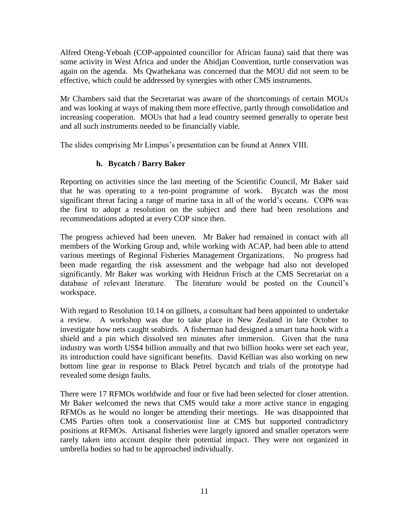Alfred Oteng-Yeboah (COP-appointed councillor for African fauna) said that there was some activity in West Africa and under the Abidjan Convention, turtle conservation was again on the agenda. Ms Qwathekana was concerned that the MOU did not seem to be effective, which could be addressed by synergies with other CMS instruments.

Mr Chambers said that the Secretariat was aware of the shortcomings of certain MOUs and was looking at ways of making them more effective, partly through consolidation and increasing cooperation. MOUs that had a lead country seemed generally to operate best and all such instruments needed to be financially viable.

The slides comprising Mr Limpus's presentation can be found at Annex VIII.

# **h. Bycatch / Barry Baker**

Reporting on activities since the last meeting of the Scientific Council, Mr Baker said that he was operating to a ten-point programme of work. Bycatch was the most significant threat facing a range of marine taxa in all of the world's oceans. COP6 was the first to adopt a resolution on the subject and there had been resolutions and recommendations adopted at every COP since then.

The progress achieved had been uneven. Mr Baker had remained in contact with all members of the Working Group and, while working with ACAP, had been able to attend various meetings of Regional Fisheries Management Organizations. No progress had been made regarding the risk assessment and the webpage had also not developed significantly. Mr Baker was working with Heidrun Frisch at the CMS Secretariat on a database of relevant literature. The literature would be posted on the Council's workspace.

With regard to Resolution 10.14 on gillnets, a consultant had been appointed to undertake a review. A workshop was due to take place in New Zealand in late October to investigate how nets caught seabirds. A fisherman had designed a smart tuna hook with a shield and a pin which dissolved ten minutes after immersion. Given that the tuna industry was worth US\$4 billion annually and that two billion hooks were set each year, its introduction could have significant benefits. David Kellian was also working on new bottom line gear in response to Black Petrel bycatch and trials of the prototype had revealed some design faults.

There were 17 RFMOs worldwide and four or five had been selected for closer attention. Mr Baker welcomed the news that CMS would take a more active stance in engaging RFMOs as he would no longer be attending their meetings. He was disappointed that CMS Parties often took a conservationist line at CMS but supported contradictory positions at RFMOs. Artisanal fisheries were largely ignored and smaller operators were rarely taken into account despite their potential impact. They were not organized in umbrella bodies so had to be approached individually.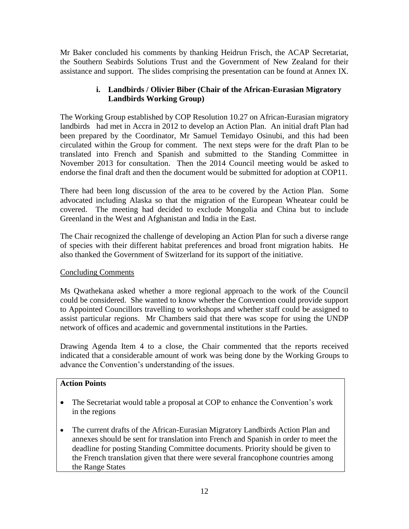Mr Baker concluded his comments by thanking Heidrun Frisch, the ACAP Secretariat, the Southern Seabirds Solutions Trust and the Government of New Zealand for their assistance and support. The slides comprising the presentation can be found at Annex IX.

# **i. Landbirds / Olivier Biber (Chair of the African-Eurasian Migratory Landbirds Working Group)**

The Working Group established by COP Resolution 10.27 on African-Eurasian migratory landbirds had met in Accra in 2012 to develop an Action Plan. An initial draft Plan had been prepared by the Coordinator, Mr Samuel Temidayo Osinubi, and this had been circulated within the Group for comment. The next steps were for the draft Plan to be translated into French and Spanish and submitted to the Standing Committee in November 2013 for consultation. Then the 2014 Council meeting would be asked to endorse the final draft and then the document would be submitted for adoption at COP11.

There had been long discussion of the area to be covered by the Action Plan. Some advocated including Alaska so that the migration of the European Wheatear could be covered. The meeting had decided to exclude Mongolia and China but to include Greenland in the West and Afghanistan and India in the East.

The Chair recognized the challenge of developing an Action Plan for such a diverse range of species with their different habitat preferences and broad front migration habits. He also thanked the Government of Switzerland for its support of the initiative.

# Concluding Comments

Ms Qwathekana asked whether a more regional approach to the work of the Council could be considered. She wanted to know whether the Convention could provide support to Appointed Councillors travelling to workshops and whether staff could be assigned to assist particular regions. Mr Chambers said that there was scope for using the UNDP network of offices and academic and governmental institutions in the Parties.

Drawing Agenda Item 4 to a close, the Chair commented that the reports received indicated that a considerable amount of work was being done by the Working Groups to advance the Convention's understanding of the issues.

# **Action Points**

- The Secretariat would table a proposal at COP to enhance the Convention's work in the regions
- The current drafts of the African-Eurasian Migratory Landbirds Action Plan and annexes should be sent for translation into French and Spanish in order to meet the deadline for posting Standing Committee documents. Priority should be given to the French translation given that there were several francophone countries among the Range States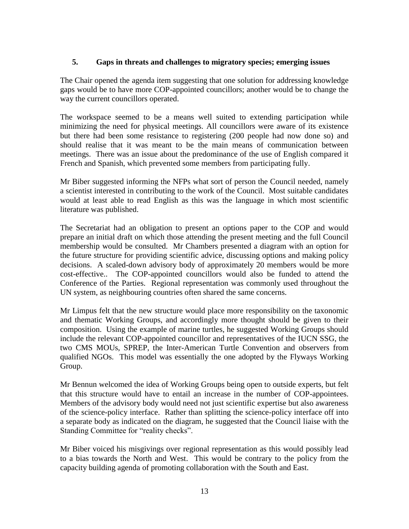#### **5. Gaps in threats and challenges to migratory species; emerging issues**

The Chair opened the agenda item suggesting that one solution for addressing knowledge gaps would be to have more COP-appointed councillors; another would be to change the way the current councillors operated.

The workspace seemed to be a means well suited to extending participation while minimizing the need for physical meetings. All councillors were aware of its existence but there had been some resistance to registering (200 people had now done so) and should realise that it was meant to be the main means of communication between meetings. There was an issue about the predominance of the use of English compared it French and Spanish, which prevented some members from participating fully.

Mr Biber suggested informing the NFPs what sort of person the Council needed, namely a scientist interested in contributing to the work of the Council. Most suitable candidates would at least able to read English as this was the language in which most scientific literature was published.

The Secretariat had an obligation to present an options paper to the COP and would prepare an initial draft on which those attending the present meeting and the full Council membership would be consulted. Mr Chambers presented a diagram with an option for the future structure for providing scientific advice, discussing options and making policy decisions. A scaled-down advisory body of approximately 20 members would be more cost-effective.. The COP-appointed councillors would also be funded to attend the Conference of the Parties. Regional representation was commonly used throughout the UN system, as neighbouring countries often shared the same concerns.

Mr Limpus felt that the new structure would place more responsibility on the taxonomic and thematic Working Groups, and accordingly more thought should be given to their composition. Using the example of marine turtles, he suggested Working Groups should include the relevant COP-appointed councillor and representatives of the IUCN SSG, the two CMS MOUs, SPREP, the Inter-American Turtle Convention and observers from qualified NGOs. This model was essentially the one adopted by the Flyways Working Group.

Mr Bennun welcomed the idea of Working Groups being open to outside experts, but felt that this structure would have to entail an increase in the number of COP-appointees. Members of the advisory body would need not just scientific expertise but also awareness of the science-policy interface. Rather than splitting the science-policy interface off into a separate body as indicated on the diagram, he suggested that the Council liaise with the Standing Committee for "reality checks".

Mr Biber voiced his misgivings over regional representation as this would possibly lead to a bias towards the North and West. This would be contrary to the policy from the capacity building agenda of promoting collaboration with the South and East.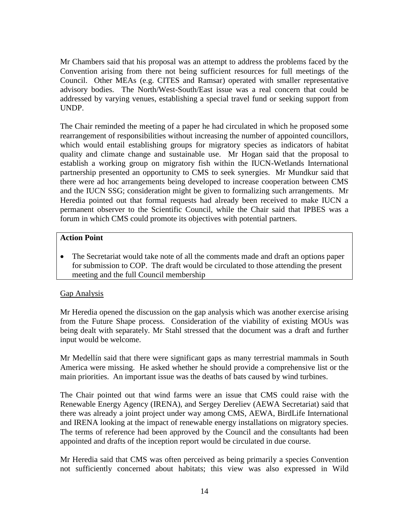Mr Chambers said that his proposal was an attempt to address the problems faced by the Convention arising from there not being sufficient resources for full meetings of the Council. Other MEAs (e.g. CITES and Ramsar) operated with smaller representative advisory bodies. The North/West-South/East issue was a real concern that could be addressed by varying venues, establishing a special travel fund or seeking support from UNDP.

The Chair reminded the meeting of a paper he had circulated in which he proposed some rearrangement of responsibilities without increasing the number of appointed councillors, which would entail establishing groups for migratory species as indicators of habitat quality and climate change and sustainable use. Mr Hogan said that the proposal to establish a working group on migratory fish within the IUCN-Wetlands International partnership presented an opportunity to CMS to seek synergies. Mr Mundkur said that there were ad hoc arrangements being developed to increase cooperation between CMS and the IUCN SSG; consideration might be given to formalizing such arrangements. Mr Heredia pointed out that formal requests had already been received to make IUCN a permanent observer to the Scientific Council, while the Chair said that IPBES was a forum in which CMS could promote its objectives with potential partners.

## **Action Point**

 The Secretariat would take note of all the comments made and draft an options paper for submission to COP. The draft would be circulated to those attending the present meeting and the full Council membership

# Gap Analysis

Mr Heredia opened the discussion on the gap analysis which was another exercise arising from the Future Shape process. Consideration of the viability of existing MOUs was being dealt with separately. Mr Stahl stressed that the document was a draft and further input would be welcome.

Mr Medellín said that there were significant gaps as many terrestrial mammals in South America were missing. He asked whether he should provide a comprehensive list or the main priorities. An important issue was the deaths of bats caused by wind turbines.

The Chair pointed out that wind farms were an issue that CMS could raise with the Renewable Energy Agency (IRENA), and Sergey Dereliev (AEWA Secretariat) said that there was already a joint project under way among CMS, AEWA, BirdLife International and IRENA looking at the impact of renewable energy installations on migratory species. The terms of reference had been approved by the Council and the consultants had been appointed and drafts of the inception report would be circulated in due course.

Mr Heredia said that CMS was often perceived as being primarily a species Convention not sufficiently concerned about habitats; this view was also expressed in Wild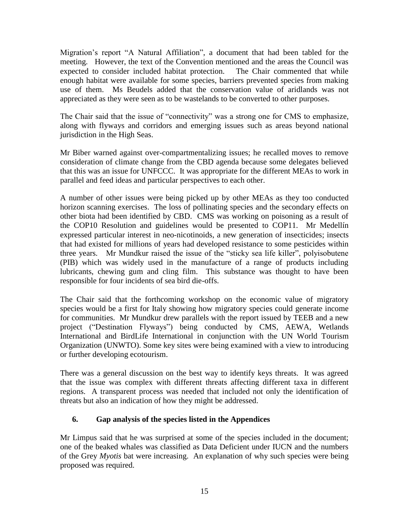Migration's report "A Natural Affiliation", a document that had been tabled for the meeting. However, the text of the Convention mentioned and the areas the Council was expected to consider included habitat protection. The Chair commented that while enough habitat were available for some species, barriers prevented species from making use of them. Ms Beudels added that the conservation value of aridlands was not appreciated as they were seen as to be wastelands to be converted to other purposes.

The Chair said that the issue of "connectivity" was a strong one for CMS to emphasize, along with flyways and corridors and emerging issues such as areas beyond national jurisdiction in the High Seas.

Mr Biber warned against over-compartmentalizing issues; he recalled moves to remove consideration of climate change from the CBD agenda because some delegates believed that this was an issue for UNFCCC. It was appropriate for the different MEAs to work in parallel and feed ideas and particular perspectives to each other.

A number of other issues were being picked up by other MEAs as they too conducted horizon scanning exercises. The loss of pollinating species and the secondary effects on other biota had been identified by CBD. CMS was working on poisoning as a result of the COP10 Resolution and guidelines would be presented to COP11. Mr Medellín expressed particular interest in neo-nicotinoids, a new generation of insecticides; insects that had existed for millions of years had developed resistance to some pesticides within three years. Mr Mundkur raised the issue of the "sticky sea life killer", polyisobutene (PIB) which was widely used in the manufacture of a range of products including lubricants, chewing gum and cling film. This substance was thought to have been responsible for four incidents of sea bird die-offs.

The Chair said that the forthcoming workshop on the economic value of migratory species would be a first for Italy showing how migratory species could generate income for communities. Mr Mundkur drew parallels with the report issued by TEEB and a new project ("Destination Flyways") being conducted by CMS, AEWA, Wetlands International and BirdLife International in conjunction with the UN World Tourism Organization (UNWTO). Some key sites were being examined with a view to introducing or further developing ecotourism.

There was a general discussion on the best way to identify keys threats. It was agreed that the issue was complex with different threats affecting different taxa in different regions. A transparent process was needed that included not only the identification of threats but also an indication of how they might be addressed.

# **6. Gap analysis of the species listed in the Appendices**

Mr Limpus said that he was surprised at some of the species included in the document; one of the beaked whales was classified as Data Deficient under IUCN and the numbers of the Grey *Myotis* bat were increasing. An explanation of why such species were being proposed was required.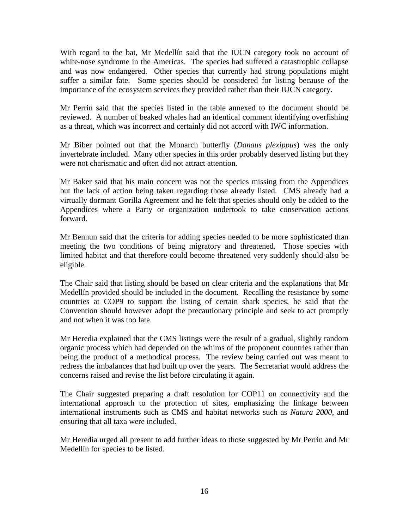With regard to the bat, Mr Medellín said that the IUCN category took no account of white-nose syndrome in the Americas. The species had suffered a catastrophic collapse and was now endangered. Other species that currently had strong populations might suffer a similar fate. Some species should be considered for listing because of the importance of the ecosystem services they provided rather than their IUCN category.

Mr Perrin said that the species listed in the table annexed to the document should be reviewed. A number of beaked whales had an identical comment identifying overfishing as a threat, which was incorrect and certainly did not accord with IWC information.

Mr Biber pointed out that the Monarch butterfly (*Danaus plexippus*) was the only invertebrate included. Many other species in this order probably deserved listing but they were not charismatic and often did not attract attention.

Mr Baker said that his main concern was not the species missing from the Appendices but the lack of action being taken regarding those already listed. CMS already had a virtually dormant Gorilla Agreement and he felt that species should only be added to the Appendices where a Party or organization undertook to take conservation actions forward.

Mr Bennun said that the criteria for adding species needed to be more sophisticated than meeting the two conditions of being migratory and threatened. Those species with limited habitat and that therefore could become threatened very suddenly should also be eligible.

The Chair said that listing should be based on clear criteria and the explanations that Mr Medellín provided should be included in the document. Recalling the resistance by some countries at COP9 to support the listing of certain shark species, he said that the Convention should however adopt the precautionary principle and seek to act promptly and not when it was too late.

Mr Heredia explained that the CMS listings were the result of a gradual, slightly random organic process which had depended on the whims of the proponent countries rather than being the product of a methodical process. The review being carried out was meant to redress the imbalances that had built up over the years. The Secretariat would address the concerns raised and revise the list before circulating it again.

The Chair suggested preparing a draft resolution for COP11 on connectivity and the international approach to the protection of sites, emphasizing the linkage between international instruments such as CMS and habitat networks such as *Natura 2000*, and ensuring that all taxa were included.

Mr Heredia urged all present to add further ideas to those suggested by Mr Perrin and Mr Medellín for species to be listed.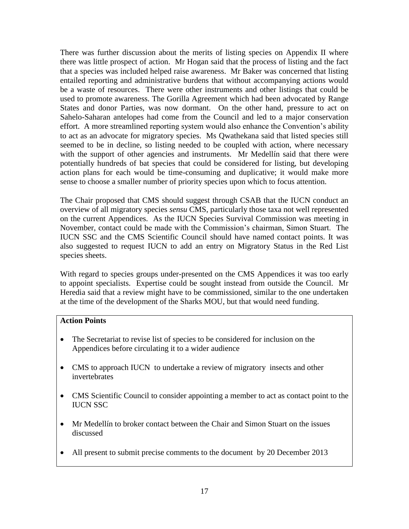There was further discussion about the merits of listing species on Appendix II where there was little prospect of action. Mr Hogan said that the process of listing and the fact that a species was included helped raise awareness. Mr Baker was concerned that listing entailed reporting and administrative burdens that without accompanying actions would be a waste of resources. There were other instruments and other listings that could be used to promote awareness. The Gorilla Agreement which had been advocated by Range States and donor Parties, was now dormant. On the other hand, pressure to act on Sahelo-Saharan antelopes had come from the Council and led to a major conservation effort. A more streamlined reporting system would also enhance the Convention's ability to act as an advocate for migratory species. Ms Qwathekana said that listed species still seemed to be in decline, so listing needed to be coupled with action, where necessary with the support of other agencies and instruments. Mr Medellín said that there were potentially hundreds of bat species that could be considered for listing, but developing action plans for each would be time-consuming and duplicative; it would make more sense to choose a smaller number of priority species upon which to focus attention.

The Chair proposed that CMS should suggest through CSAB that the IUCN conduct an overview of all migratory species *sensu* CMS, particularly those taxa not well represented on the current Appendices. As the IUCN Species Survival Commission was meeting in November, contact could be made with the Commission's chairman, Simon Stuart. The IUCN SSC and the CMS Scientific Council should have named contact points. It was also suggested to request IUCN to add an entry on Migratory Status in the Red List species sheets.

With regard to species groups under-presented on the CMS Appendices it was too early to appoint specialists. Expertise could be sought instead from outside the Council. Mr Heredia said that a review might have to be commissioned, similar to the one undertaken at the time of the development of the Sharks MOU, but that would need funding.

## **Action Points**

- The Secretariat to revise list of species to be considered for inclusion on the Appendices before circulating it to a wider audience
- CMS to approach IUCN to undertake a review of migratory insects and other invertebrates
- CMS Scientific Council to consider appointing a member to act as contact point to the IUCN SSC
- Mr Medellín to broker contact between the Chair and Simon Stuart on the issues discussed
- All present to submit precise comments to the document by 20 December 2013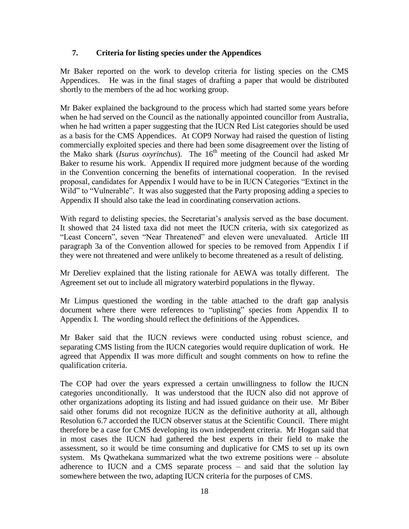## **7. Criteria for listing species under the Appendices**

Mr Baker reported on the work to develop criteria for listing species on the CMS Appendices. He was in the final stages of drafting a paper that would be distributed shortly to the members of the ad hoc working group.

Mr Baker explained the background to the process which had started some years before when he had served on the Council as the nationally appointed councillor from Australia, when he had written a paper suggesting that the IUCN Red List categories should be used as a basis for the CMS Appendices. At COP9 Norway had raised the question of listing commercially exploited species and there had been some disagreement over the listing of the Mako shark (*Isurus oxyrinchus*). The 16<sup>th</sup> meeting of the Council had asked Mr Baker to resume his work. Appendix II required more judgment because of the wording in the Convention concerning the benefits of international cooperation. In the revised proposal, candidates for Appendix I would have to be in IUCN Categories "Extinct in the Wild" to "Vulnerable". It was also suggested that the Party proposing adding a species to Appendix II should also take the lead in coordinating conservation actions.

With regard to delisting species, the Secretariat's analysis served as the base document. It showed that 24 listed taxa did not meet the IUCN criteria, with six categorized as "Least Concern", seven "Near Threatened" and eleven were unevaluated. Article III paragraph 3a of the Convention allowed for species to be removed from Appendix I if they were not threatened and were unlikely to become threatened as a result of delisting.

Mr Dereliev explained that the listing rationale for AEWA was totally different. The Agreement set out to include all migratory waterbird populations in the flyway.

Mr Limpus questioned the wording in the table attached to the draft gap analysis document where there were references to "uplisting" species from Appendix II to Appendix I. The wording should reflect the definitions of the Appendices.

Mr Baker said that the IUCN reviews were conducted using robust science, and separating CMS listing from the IUCN categories would require duplication of work. He agreed that Appendix II was more difficult and sought comments on how to refine the qualification criteria.

The COP had over the years expressed a certain unwillingness to follow the IUCN categories unconditionally. It was understood that the IUCN also did not approve of other organizations adopting its listing and had issued guidance on their use. Mr Biber said other forums did not recognize IUCN as the definitive authority at all, although Resolution 6.7 accorded the IUCN observer status at the Scientific Council. There might therefore be a case for CMS developing its own independent criteria. Mr Hogan said that in most cases the IUCN had gathered the best experts in their field to make the assessment, so it would be time consuming and duplicative for CMS to set up its own system. Ms Qwathekana summarized what the two extreme positions were – absolute adherence to IUCN and a CMS separate process – and said that the solution lay somewhere between the two, adapting IUCN criteria for the purposes of CMS.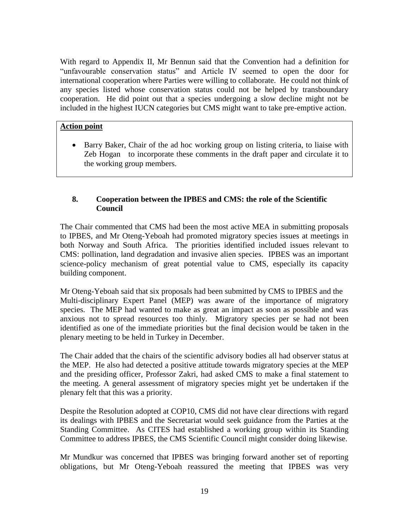With regard to Appendix II, Mr Bennun said that the Convention had a definition for "unfavourable conservation status" and Article IV seemed to open the door for international cooperation where Parties were willing to collaborate. He could not think of any species listed whose conservation status could not be helped by transboundary cooperation. He did point out that a species undergoing a slow decline might not be included in the highest IUCN categories but CMS might want to take pre-emptive action.

## **Action point**

 Barry Baker, Chair of the ad hoc working group on listing criteria, to liaise with Zeb Hogan to incorporate these comments in the draft paper and circulate it to the working group members.

# **8. Cooperation between the IPBES and CMS: the role of the Scientific Council**

The Chair commented that CMS had been the most active MEA in submitting proposals to IPBES, and Mr Oteng-Yeboah had promoted migratory species issues at meetings in both Norway and South Africa. The priorities identified included issues relevant to CMS: pollination, land degradation and invasive alien species. IPBES was an important science-policy mechanism of great potential value to CMS, especially its capacity building component.

Mr Oteng-Yeboah said that six proposals had been submitted by CMS to IPBES and the Multi-disciplinary Expert Panel (MEP) was aware of the importance of migratory species. The MEP had wanted to make as great an impact as soon as possible and was anxious not to spread resources too thinly. Migratory species per se had not been identified as one of the immediate priorities but the final decision would be taken in the plenary meeting to be held in Turkey in December.

The Chair added that the chairs of the scientific advisory bodies all had observer status at the MEP. He also had detected a positive attitude towards migratory species at the MEP and the presiding officer, Professor Zakri, had asked CMS to make a final statement to the meeting. A general assessment of migratory species might yet be undertaken if the plenary felt that this was a priority.

Despite the Resolution adopted at COP10, CMS did not have clear directions with regard its dealings with IPBES and the Secretariat would seek guidance from the Parties at the Standing Committee. As CITES had established a working group within its Standing Committee to address IPBES, the CMS Scientific Council might consider doing likewise.

Mr Mundkur was concerned that IPBES was bringing forward another set of reporting obligations, but Mr Oteng-Yeboah reassured the meeting that IPBES was very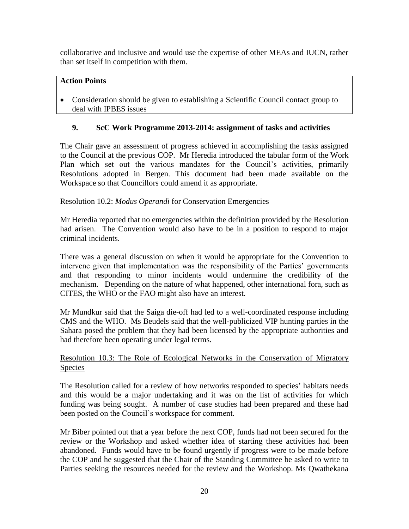collaborative and inclusive and would use the expertise of other MEAs and IUCN, rather than set itself in competition with them.

# **Action Points**

 Consideration should be given to establishing a Scientific Council contact group to deal with IPBES issues

# **9. ScC Work Programme 2013-2014: assignment of tasks and activities**

The Chair gave an assessment of progress achieved in accomplishing the tasks assigned to the Council at the previous COP. Mr Heredia introduced the tabular form of the Work Plan which set out the various mandates for the Council's activities, primarily Resolutions adopted in Bergen. This document had been made available on the Workspace so that Councillors could amend it as appropriate.

# Resolution 10.2: *Modus Operandi* for Conservation Emergencies

Mr Heredia reported that no emergencies within the definition provided by the Resolution had arisen. The Convention would also have to be in a position to respond to major criminal incidents.

There was a general discussion on when it would be appropriate for the Convention to intervene given that implementation was the responsibility of the Parties' governments and that responding to minor incidents would undermine the credibility of the mechanism. Depending on the nature of what happened, other international fora, such as CITES, the WHO or the FAO might also have an interest.

Mr Mundkur said that the Saiga die-off had led to a well-coordinated response including CMS and the WHO. Ms Beudels said that the well-publicized VIP hunting parties in the Sahara posed the problem that they had been licensed by the appropriate authorities and had therefore been operating under legal terms.

#### Resolution 10.3: The Role of Ecological Networks in the Conservation of Migratory Species

The Resolution called for a review of how networks responded to species' habitats needs and this would be a major undertaking and it was on the list of activities for which funding was being sought. A number of case studies had been prepared and these had been posted on the Council's workspace for comment.

Mr Biber pointed out that a year before the next COP, funds had not been secured for the review or the Workshop and asked whether idea of starting these activities had been abandoned. Funds would have to be found urgently if progress were to be made before the COP and he suggested that the Chair of the Standing Committee be asked to write to Parties seeking the resources needed for the review and the Workshop. Ms Qwathekana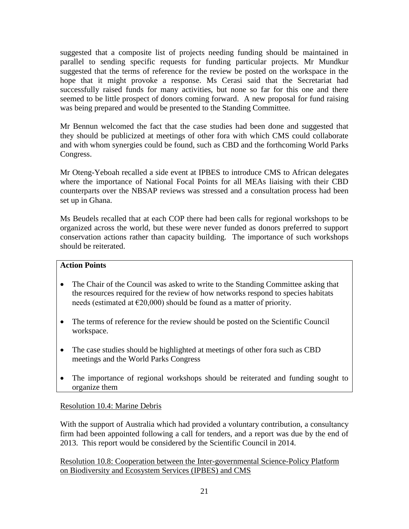suggested that a composite list of projects needing funding should be maintained in parallel to sending specific requests for funding particular projects. Mr Mundkur suggested that the terms of reference for the review be posted on the workspace in the hope that it might provoke a response. Ms Cerasi said that the Secretariat had successfully raised funds for many activities, but none so far for this one and there seemed to be little prospect of donors coming forward. A new proposal for fund raising was being prepared and would be presented to the Standing Committee.

Mr Bennun welcomed the fact that the case studies had been done and suggested that they should be publicized at meetings of other fora with which CMS could collaborate and with whom synergies could be found, such as CBD and the forthcoming World Parks Congress.

Mr Oteng-Yeboah recalled a side event at IPBES to introduce CMS to African delegates where the importance of National Focal Points for all MEAs liaising with their CBD counterparts over the NBSAP reviews was stressed and a consultation process had been set up in Ghana.

Ms Beudels recalled that at each COP there had been calls for regional workshops to be organized across the world, but these were never funded as donors preferred to support conservation actions rather than capacity building. The importance of such workshops should be reiterated.

#### **Action Points**

- The Chair of the Council was asked to write to the Standing Committee asking that the resources required for the review of how networks respond to species habitats needs (estimated at  $\epsilon$ 20,000) should be found as a matter of priority.
- The terms of reference for the review should be posted on the Scientific Council workspace.
- The case studies should be highlighted at meetings of other fora such as CBD meetings and the World Parks Congress
- The importance of regional workshops should be reiterated and funding sought to organize them

# Resolution 10.4: Marine Debris

With the support of Australia which had provided a voluntary contribution, a consultancy firm had been appointed following a call for tenders, and a report was due by the end of 2013. This report would be considered by the Scientific Council in 2014.

Resolution 10.8: Cooperation between the Inter-governmental Science-Policy Platform on Biodiversity and Ecosystem Services (IPBES) and CMS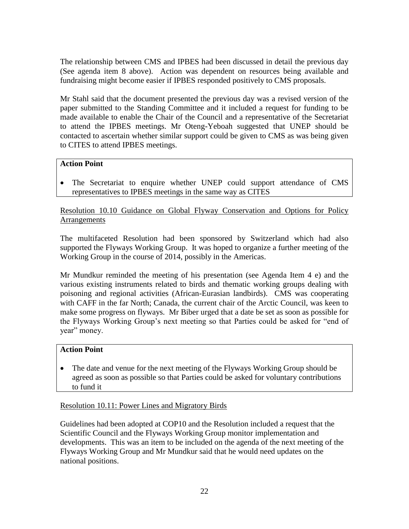The relationship between CMS and IPBES had been discussed in detail the previous day (See agenda item 8 above). Action was dependent on resources being available and fundraising might become easier if IPBES responded positively to CMS proposals.

Mr Stahl said that the document presented the previous day was a revised version of the paper submitted to the Standing Committee and it included a request for funding to be made available to enable the Chair of the Council and a representative of the Secretariat to attend the IPBES meetings. Mr Oteng-Yeboah suggested that UNEP should be contacted to ascertain whether similar support could be given to CMS as was being given to CITES to attend IPBES meetings.

# **Action Point**

 The Secretariat to enquire whether UNEP could support attendance of CMS representatives to IPBES meetings in the same way as CITES

## Resolution 10.10 Guidance on Global Flyway Conservation and Options for Policy **Arrangements**

The multifaceted Resolution had been sponsored by Switzerland which had also supported the Flyways Working Group. It was hoped to organize a further meeting of the Working Group in the course of 2014, possibly in the Americas.

Mr Mundkur reminded the meeting of his presentation (see Agenda Item 4 e) and the various existing instruments related to birds and thematic working groups dealing with poisoning and regional activities (African-Eurasian landbirds). CMS was cooperating with CAFF in the far North; Canada, the current chair of the Arctic Council, was keen to make some progress on flyways. Mr Biber urged that a date be set as soon as possible for the Flyways Working Group's next meeting so that Parties could be asked for "end of year" money.

# **Action Point**

 The date and venue for the next meeting of the Flyways Working Group should be agreed as soon as possible so that Parties could be asked for voluntary contributions to fund it

# Resolution 10.11: Power Lines and Migratory Birds

Guidelines had been adopted at COP10 and the Resolution included a request that the Scientific Council and the Flyways Working Group monitor implementation and developments. This was an item to be included on the agenda of the next meeting of the Flyways Working Group and Mr Mundkur said that he would need updates on the national positions.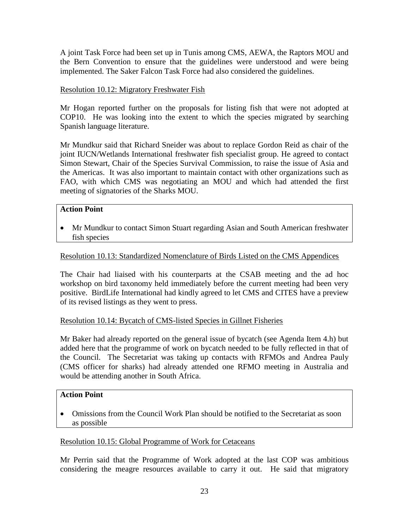A joint Task Force had been set up in Tunis among CMS, AEWA, the Raptors MOU and the Bern Convention to ensure that the guidelines were understood and were being implemented. The Saker Falcon Task Force had also considered the guidelines.

## Resolution 10.12: Migratory Freshwater Fish

Mr Hogan reported further on the proposals for listing fish that were not adopted at COP10. He was looking into the extent to which the species migrated by searching Spanish language literature.

Mr Mundkur said that Richard Sneider was about to replace Gordon Reid as chair of the joint IUCN/Wetlands International freshwater fish specialist group. He agreed to contact Simon Stewart, Chair of the Species Survival Commission, to raise the issue of Asia and the Americas. It was also important to maintain contact with other organizations such as FAO, with which CMS was negotiating an MOU and which had attended the first meeting of signatories of the Sharks MOU.

## **Action Point**

• Mr Mundkur to contact Simon Stuart regarding Asian and South American freshwater fish species

# Resolution 10.13: Standardized Nomenclature of Birds Listed on the CMS Appendices

The Chair had liaised with his counterparts at the CSAB meeting and the ad hoc workshop on bird taxonomy held immediately before the current meeting had been very positive. BirdLife International had kindly agreed to let CMS and CITES have a preview of its revised listings as they went to press.

#### Resolution 10.14: Bycatch of CMS-listed Species in Gillnet Fisheries

Mr Baker had already reported on the general issue of bycatch (see Agenda Item 4.h) but added here that the programme of work on bycatch needed to be fully reflected in that of the Council. The Secretariat was taking up contacts with RFMOs and Andrea Pauly (CMS officer for sharks) had already attended one RFMO meeting in Australia and would be attending another in South Africa.

## **Action Point**

 Omissions from the Council Work Plan should be notified to the Secretariat as soon as possible

#### Resolution 10.15: Global Programme of Work for Cetaceans

Mr Perrin said that the Programme of Work adopted at the last COP was ambitious considering the meagre resources available to carry it out. He said that migratory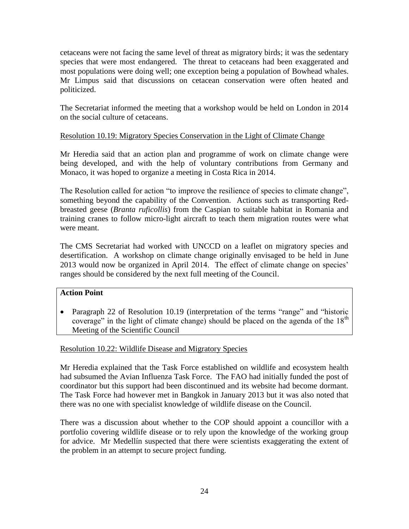cetaceans were not facing the same level of threat as migratory birds; it was the sedentary species that were most endangered. The threat to cetaceans had been exaggerated and most populations were doing well; one exception being a population of Bowhead whales. Mr Limpus said that discussions on cetacean conservation were often heated and politicized.

The Secretariat informed the meeting that a workshop would be held on London in 2014 on the social culture of cetaceans.

# Resolution 10.19: Migratory Species Conservation in the Light of Climate Change

Mr Heredia said that an action plan and programme of work on climate change were being developed, and with the help of voluntary contributions from Germany and Monaco, it was hoped to organize a meeting in Costa Rica in 2014.

The Resolution called for action "to improve the resilience of species to climate change", something beyond the capability of the Convention. Actions such as transporting Redbreasted geese (*Branta ruficollis*) from the Caspian to suitable habitat in Romania and training cranes to follow micro-light aircraft to teach them migration routes were what were meant.

The CMS Secretariat had worked with UNCCD on a leaflet on migratory species and desertification. A workshop on climate change originally envisaged to be held in June 2013 would now be organized in April 2014. The effect of climate change on species' ranges should be considered by the next full meeting of the Council.

#### **Action Point**

• Paragraph 22 of Resolution 10.19 (interpretation of the terms "range" and "historic coverage" in the light of climate change) should be placed on the agenda of the  $18<sup>th</sup>$ Meeting of the Scientific Council

# Resolution 10.22: Wildlife Disease and Migratory Species

Mr Heredia explained that the Task Force established on wildlife and ecosystem health had subsumed the Avian Influenza Task Force. The FAO had initially funded the post of coordinator but this support had been discontinued and its website had become dormant. The Task Force had however met in Bangkok in January 2013 but it was also noted that there was no one with specialist knowledge of wildlife disease on the Council.

There was a discussion about whether to the COP should appoint a councillor with a portfolio covering wildlife disease or to rely upon the knowledge of the working group for advice. Mr Medellín suspected that there were scientists exaggerating the extent of the problem in an attempt to secure project funding.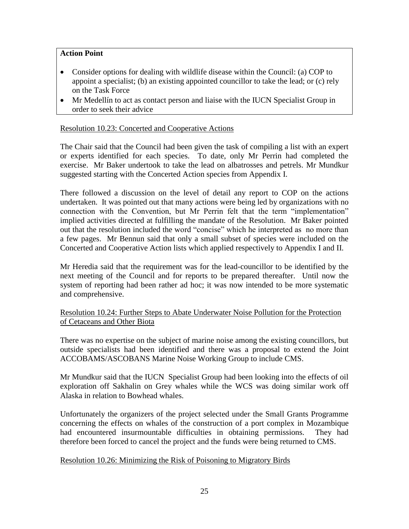## **Action Point**

- Consider options for dealing with wildlife disease within the Council: (a) COP to appoint a specialist; (b) an existing appointed councillor to take the lead; or (c) rely on the Task Force
- Mr Medellín to act as contact person and liaise with the IUCN Specialist Group in order to seek their advice

#### Resolution 10.23: Concerted and Cooperative Actions

The Chair said that the Council had been given the task of compiling a list with an expert or experts identified for each species. To date, only Mr Perrin had completed the exercise. Mr Baker undertook to take the lead on albatrosses and petrels. Mr Mundkur suggested starting with the Concerted Action species from Appendix I.

There followed a discussion on the level of detail any report to COP on the actions undertaken. It was pointed out that many actions were being led by organizations with no connection with the Convention, but Mr Perrin felt that the term "implementation" implied activities directed at fulfilling the mandate of the Resolution. Mr Baker pointed out that the resolution included the word "concise" which he interpreted as no more than a few pages. Mr Bennun said that only a small subset of species were included on the Concerted and Cooperative Action lists which applied respectively to Appendix I and II.

Mr Heredia said that the requirement was for the lead-councillor to be identified by the next meeting of the Council and for reports to be prepared thereafter. Until now the system of reporting had been rather ad hoc; it was now intended to be more systematic and comprehensive.

#### Resolution 10.24: Further Steps to Abate Underwater Noise Pollution for the Protection of Cetaceans and Other Biota

There was no expertise on the subject of marine noise among the existing councillors, but outside specialists had been identified and there was a proposal to extend the Joint ACCOBAMS/ASCOBANS Marine Noise Working Group to include CMS.

Mr Mundkur said that the IUCN Specialist Group had been looking into the effects of oil exploration off Sakhalin on Grey whales while the WCS was doing similar work off Alaska in relation to Bowhead whales.

Unfortunately the organizers of the project selected under the Small Grants Programme concerning the effects on whales of the construction of a port complex in Mozambique had encountered insurmountable difficulties in obtaining permissions. They had therefore been forced to cancel the project and the funds were being returned to CMS.

#### Resolution 10.26: Minimizing the Risk of Poisoning to Migratory Birds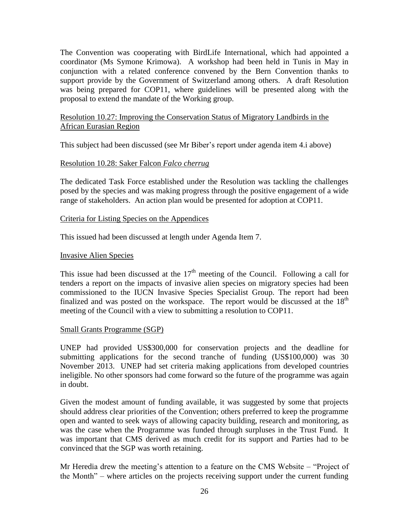The Convention was cooperating with BirdLife International, which had appointed a coordinator (Ms Symone Krimowa). A workshop had been held in Tunis in May in conjunction with a related conference convened by the Bern Convention thanks to support provide by the Government of Switzerland among others. A draft Resolution was being prepared for COP11, where guidelines will be presented along with the proposal to extend the mandate of the Working group.

## Resolution 10.27: Improving the Conservation Status of Migratory Landbirds in the African Eurasian Region

This subject had been discussed (see Mr Biber's report under agenda item 4.i above)

#### Resolution 10.28: Saker Falcon *Falco cherrug*

The dedicated Task Force established under the Resolution was tackling the challenges posed by the species and was making progress through the positive engagement of a wide range of stakeholders. An action plan would be presented for adoption at COP11.

#### Criteria for Listing Species on the Appendices

This issued had been discussed at length under Agenda Item 7.

#### Invasive Alien Species

This issue had been discussed at the  $17<sup>th</sup>$  meeting of the Council. Following a call for tenders a report on the impacts of invasive alien species on migratory species had been commissioned to the IUCN Invasive Species Specialist Group. The report had been finalized and was posted on the workspace. The report would be discussed at the  $18<sup>th</sup>$ meeting of the Council with a view to submitting a resolution to COP11.

# Small Grants Programme (SGP)

UNEP had provided US\$300,000 for conservation projects and the deadline for submitting applications for the second tranche of funding (US\$100,000) was 30 November 2013. UNEP had set criteria making applications from developed countries ineligible. No other sponsors had come forward so the future of the programme was again in doubt.

Given the modest amount of funding available, it was suggested by some that projects should address clear priorities of the Convention; others preferred to keep the programme open and wanted to seek ways of allowing capacity building, research and monitoring, as was the case when the Programme was funded through surpluses in the Trust Fund. It was important that CMS derived as much credit for its support and Parties had to be convinced that the SGP was worth retaining.

Mr Heredia drew the meeting's attention to a feature on the CMS Website – "Project of the Month" – where articles on the projects receiving support under the current funding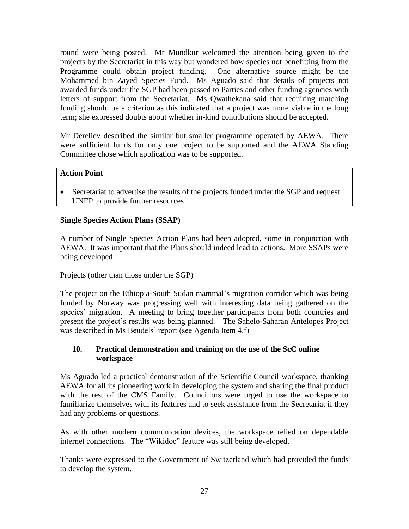round were being posted. Mr Mundkur welcomed the attention being given to the projects by the Secretariat in this way but wondered how species not benefitting from the Programme could obtain project funding. One alternative source might be the Mohammed bin Zayed Species Fund. Ms Aguado said that details of projects not awarded funds under the SGP had been passed to Parties and other funding agencies with letters of support from the Secretariat. Ms Qwathekana said that requiring matching funding should be a criterion as this indicated that a project was more viable in the long term; she expressed doubts about whether in-kind contributions should be accepted.

Mr Dereliev described the similar but smaller programme operated by AEWA. There were sufficient funds for only one project to be supported and the AEWA Standing Committee chose which application was to be supported.

# **Action Point**

 Secretariat to advertise the results of the projects funded under the SGP and request UNEP to provide further resources

# **Single Species Action Plans (SSAP)**

A number of Single Species Action Plans had been adopted, some in conjunction with AEWA. It was important that the Plans should indeed lead to actions. More SSAPs were being developed.

# Projects (other than those under the SGP)

The project on the Ethiopia-South Sudan mammal's migration corridor which was being funded by Norway was progressing well with interesting data being gathered on the species' migration. A meeting to bring together participants from both countries and present the project's results was being planned. The Sahelo-Saharan Antelopes Project was described in Ms Beudels' report (see Agenda Item 4.f)

# **10. Practical demonstration and training on the use of the ScC online workspace**

Ms Aguado led a practical demonstration of the Scientific Council workspace, thanking AEWA for all its pioneering work in developing the system and sharing the final product with the rest of the CMS Family. Councillors were urged to use the workspace to familiarize themselves with its features and to seek assistance from the Secretariat if they had any problems or questions.

As with other modern communication devices, the workspace relied on dependable internet connections. The "Wikidoc" feature was still being developed.

Thanks were expressed to the Government of Switzerland which had provided the funds to develop the system.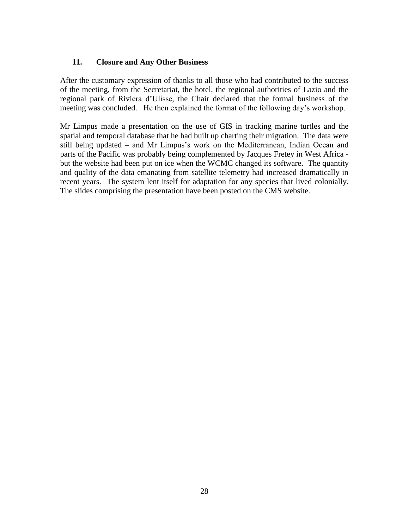#### **11. Closure and Any Other Business**

After the customary expression of thanks to all those who had contributed to the success of the meeting, from the Secretariat, the hotel, the regional authorities of Lazio and the regional park of Riviera d'Ulisse, the Chair declared that the formal business of the meeting was concluded. He then explained the format of the following day's workshop.

Mr Limpus made a presentation on the use of GIS in tracking marine turtles and the spatial and temporal database that he had built up charting their migration. The data were still being updated – and Mr Limpus's work on the Mediterranean, Indian Ocean and parts of the Pacific was probably being complemented by Jacques Fretey in West Africa but the website had been put on ice when the WCMC changed its software. The quantity and quality of the data emanating from satellite telemetry had increased dramatically in recent years. The system lent itself for adaptation for any species that lived colonially. The slides comprising the presentation have been posted on the CMS website.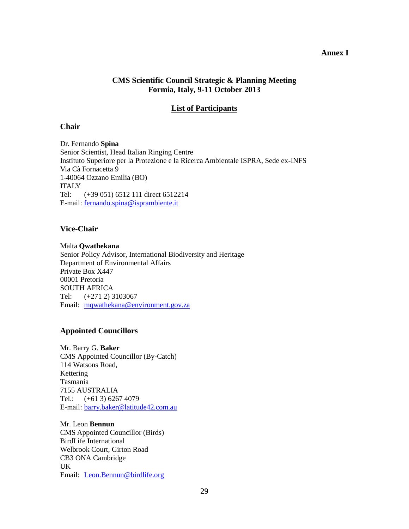#### **Annex I**

#### **CMS Scientific Council Strategic & Planning Meeting Formia, Italy, 9-11 October 2013**

#### **List of Participants**

#### **Chair**

Dr. Fernando **Spina** Senior Scientist, Head Italian Ringing Centre Instituto Superiore per la Protezione e la Ricerca Ambientale ISPRA, Sede ex-INFS Via Cà Fornacetta 9 1-40064 Ozzano Emilia (BO) **ITALY** Tel: (+39 051) 6512 111 direct 6512214 E-mail: [fernando.spina@isprambiente.it](mailto:fernando.spina@isprambiente.it)

#### **Vice-Chair**

Malta **Qwathekana** Senior Policy Advisor, International Biodiversity and Heritage Department of Environmental Affairs Private Box X447 00001 Pretoria SOUTH AFRICA Tel: (+271 2) 3103067 Email: [mqwathekana@environment.gov.za](mailto:mqwathekana@environment.gov.za)

#### **Appointed Councillors**

Mr. Barry G. **Baker**  CMS Appointed Councillor (By-Catch) 114 Watsons Road, Kettering Tasmania 7155 AUSTRALIA Tel.: (+61 3) 6267 4079 E-mail: [barry.baker@latitude42.com.au](mailto:barry.baker@latitude42.com.au)

Mr. Leon **Bennun** CMS Appointed Councillor (Birds) BirdLife International Welbrook Court, Girton Road CB3 ONA Cambridge UK Email: [Leon.Bennun@birdlife.org](mailto:Leon.Bennun@birdlife.org)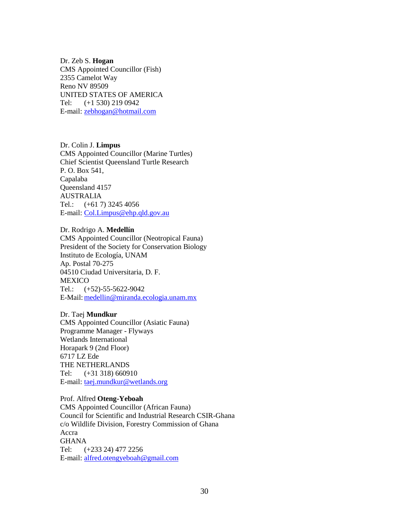Dr. Zeb S. **Hogan**  CMS Appointed Councillor (Fish) 2355 Camelot Way Reno NV 89509 UNITED STATES OF AMERICA Tel: (+1 530) 219 0942 E-mail: [zebhogan@hotmail.com](mailto:zebhogan@hotmail.com)

Dr. Colin J. **Limpus**  CMS Appointed Councillor (Marine Turtles) Chief Scientist Queensland Turtle Research P. O. Box 541, Capalaba Queensland 4157 AUSTRALIA Tel.: (+61 7) 3245 4056 E-mail: [Col.Limpus@ehp.qld.gov.au](mailto:Col.Limpus@ehp.qld.gov.au)

Dr. Rodrigo A. **Medellín** CMS Appointed Councillor (Neotropical Fauna) President of the Society for Conservation Biology Instituto de Ecología, UNAM Ap. Postal 70-275 04510 Ciudad Universitaria, D. F. **MEXICO** Tel.: (+52)-55-5622-9042 E-Mail: [medellin@miranda.ecologia.unam.mx](mailto:medellin@miranda.ecologia.unam.mx)

Dr. Taej **Mundkur** CMS Appointed Councillor (Asiatic Fauna) Programme Manager - Flyways Wetlands International Horapark 9 (2nd Floor) 6717 LZ Ede THE NETHERLANDS Tel: (+31 318) 660910 E-mail: [taej.mundkur@wetlands.org](mailto:taej.mundkur@wetlands.org)

Prof. Alfred **Oteng-Yeboah**  CMS Appointed Councillor (African Fauna) Council for Scientific and Industrial Research CSIR-Ghana c/o Wildlife Division, Forestry Commission of Ghana Accra **GHANA** Tel: (+233 24) 477 2256 E-mail: [alfred.otengyeboah@gmail.com](mailto:alfred.otengyeboah@gmail.com)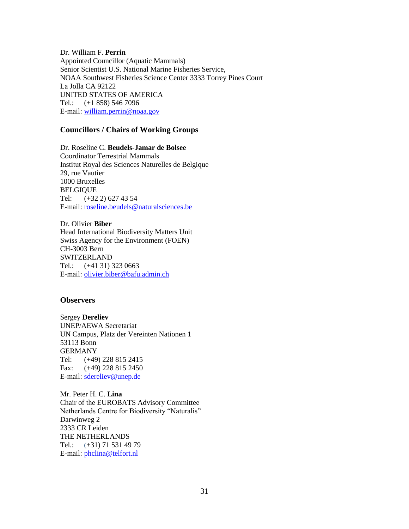Dr. William F. **Perrin**  Appointed Councillor (Aquatic Mammals) Senior Scientist U.S. National Marine Fisheries Service, NOAA Southwest Fisheries Science Center 3333 Torrey Pines Court La Jolla CA 92122 UNITED STATES OF AMERICA Tel.: (+1 858) 546 7096 E-mail: [william.perrin@noaa.gov](mailto:william.perrin@noaa.gov)

#### **Councillors / Chairs of Working Groups**

Dr. Roseline C. **Beudels-Jamar de Bolsee**  Coordinator Terrestrial Mammals Institut Royal des Sciences Naturelles de Belgique 29, rue Vautier 1000 Bruxelles BELGIQUE Tel: (+32 2) 627 43 54 E-mail: [roseline.beudels@naturalsciences.be](mailto:roseline.beudels@naturalsciences.be)

Dr. Olivier **Biber**  Head International Biodiversity Matters Unit Swiss Agency for the Environment (FOEN) CH-3003 Bern **SWITZERLAND** Tel.: (+41 31) 323 0663 E-mail: [olivier.biber@bafu.admin.ch](mailto:olivier.biber@bafu.admin.ch)

#### **Observers**

Sergey **Dereliev** UNEP/AEWA Secretariat UN Campus, Platz der Vereinten Nationen 1 53113 Bonn GERMANY Tel: (+49) 228 815 2415 Fax: (+49) 228 815 2450 E-mail: [sdereliev@unep.de](mailto:sdereliev@unep.de)

Mr. Peter H. C. **Lina** Chair of the EUROBATS Advisory Committee Netherlands Centre for Biodiversity "Naturalis" Darwinweg 2 2333 CR Leiden THE NETHERLANDS Tel.: (+31) 71 531 49 79 E-mail: [phclina@telfort.nl](mailto:phclina@telfort.nl)